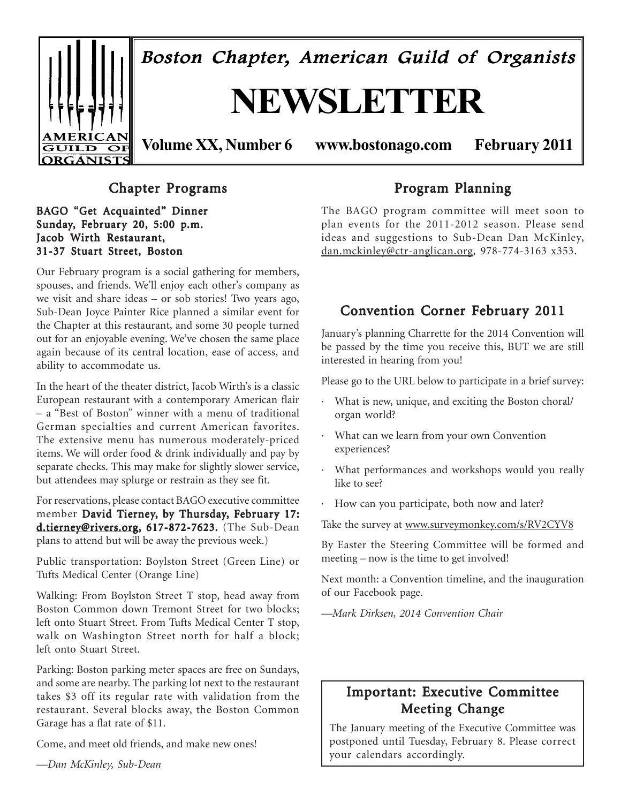

# Chapter Programs

BAGO "Get Acquainted" Dinner Sunday, February 20, 5:00 p.m. Jacob Wirth Restaurant, 31-37 Stuart Street, Boston

Our February program is a social gathering for members, spouses, and friends. We'll enjoy each other's company as we visit and share ideas – or sob stories! Two years ago, Sub-Dean Joyce Painter Rice planned a similar event for the Chapter at this restaurant, and some 30 people turned out for an enjoyable evening. We've chosen the same place again because of its central location, ease of access, and ability to accommodate us.

In the heart of the theater district, Jacob Wirth's is a classic European restaurant with a contemporary American flair – a "Best of Boston" winner with a menu of traditional German specialties and current American favorites. The extensive menu has numerous moderately-priced items. We will order food & drink individually and pay by separate checks. This may make for slightly slower service, but attendees may splurge or restrain as they see fit.

For reservations, please contact BAGO executive committee member David Tierney, by Thursday, February 17: d.tierney@rivers.org, 617-872-7623. (The Sub-Dean plans to attend but will be away the previous week.)

Public transportation: Boylston Street (Green Line) or Tufts Medical Center (Orange Line)

Walking: From Boylston Street T stop, head away from Boston Common down Tremont Street for two blocks; left onto Stuart Street. From Tufts Medical Center T stop, walk on Washington Street north for half a block; left onto Stuart Street.

Parking: Boston parking meter spaces are free on Sundays, and some are nearby. The parking lot next to the restaurant takes \$3 off its regular rate with validation from the restaurant. Several blocks away, the Boston Common Garage has a flat rate of \$11.

Come, and meet old friends, and make new ones!

*—Dan McKinley, Sub-Dean*

# Program Planning

The BAGO program committee will meet soon to plan events for the 2011-2012 season. Please send ideas and suggestions to Sub-Dean Dan McKinley, dan.mckinley@ctr-anglican.org, 978-774-3163 x353.

# Convention Corner February 2011

January's planning Charrette for the 2014 Convention will be passed by the time you receive this, BUT we are still interested in hearing from you!

Please go to the URL below to participate in a brief survey:

- · What is new, unique, and exciting the Boston choral/ organ world?
- · What can we learn from your own Convention experiences?
- · What performances and workshops would you really like to see?
- · How can you participate, both now and later?

Take the survey at www.surveymonkey.com/s/RV2CYV8

By Easter the Steering Committee will be formed and meeting – now is the time to get involved!

Next month: a Convention timeline, and the inauguration of our Facebook page.

*—Mark Dirksen, 2014 Convention Chair*

# Important: Executive Committee Meeting Change

The January meeting of the Executive Committee was postponed until Tuesday, February 8. Please correct your calendars accordingly.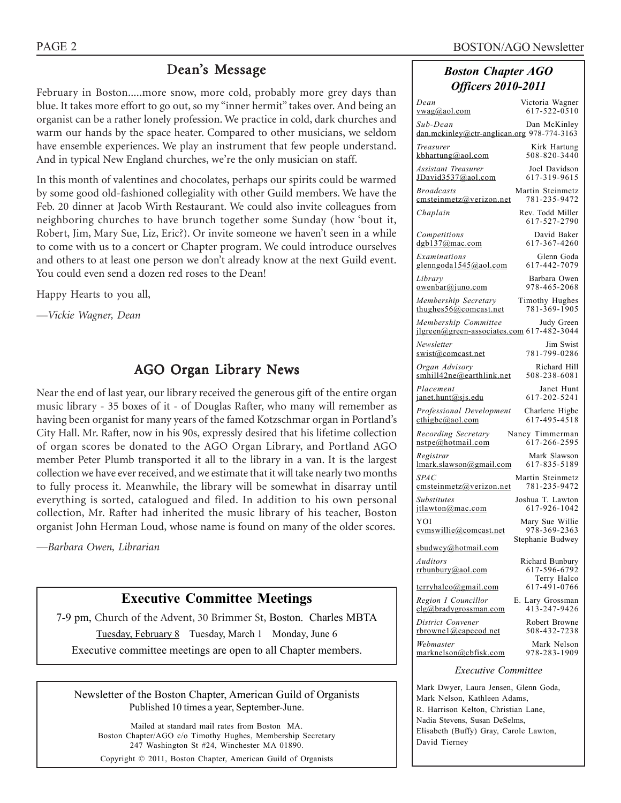# Dean's Message

February in Boston.....more snow, more cold, probably more grey days than blue. It takes more effort to go out, so my "inner hermit" takes over. And being an organist can be a rather lonely profession. We practice in cold, dark churches and warm our hands by the space heater. Compared to other musicians, we seldom have ensemble experiences. We play an instrument that few people understand. And in typical New England churches, we're the only musician on staff.

In this month of valentines and chocolates, perhaps our spirits could be warmed by some good old-fashioned collegiality with other Guild members. We have the Feb. 20 dinner at Jacob Wirth Restaurant. We could also invite colleagues from neighboring churches to have brunch together some Sunday (how 'bout it, Robert, Jim, Mary Sue, Liz, Eric?). Or invite someone we haven't seen in a while to come with us to a concert or Chapter program. We could introduce ourselves and others to at least one person we don't already know at the next Guild event. You could even send a dozen red roses to the Dean!

Happy Hearts to you all,

*—Vickie Wagner, Dean*

# AGO Organ Library News

Near the end of last year, our library received the generous gift of the entire organ music library - 35 boxes of it - of Douglas Rafter, who many will remember as having been organist for many years of the famed Kotzschmar organ in Portland's City Hall. Mr. Rafter, now in his 90s, expressly desired that his lifetime collection of organ scores be donated to the AGO Organ Library, and Portland AGO member Peter Plumb transported it all to the library in a van. It is the largest collection we have ever received, and we estimate that it will take nearly two months to fully process it. Meanwhile, the library will be somewhat in disarray until everything is sorted, catalogued and filed. In addition to his own personal collection, Mr. Rafter had inherited the music library of his teacher, Boston organist John Herman Loud, whose name is found on many of the older scores.

*—Barbara Owen, Librarian*

# **Executive Committee Meetings**

7-9 pm, Church of the Advent, 30 Brimmer St, Boston. Charles MBTA Tuesday, February 8 Tuesday, March 1 Monday, June 6 Executive committee meetings are open to all Chapter members.

Newsletter of the Boston Chapter, American Guild of Organists Published 10 times a year, September-June.

Mailed at standard mail rates from Boston MA. Boston Chapter/AGO c/o Timothy Hughes, Membership Secretary 247 Washington St #24, Winchester MA 01890.

Copyright © 2011, Boston Chapter, American Guild of Organists

# *Boston Chapter AGO Officers 2010-2011*

| Dean                                                                         | Victoria Wagner                  |  |  |  |  |  |
|------------------------------------------------------------------------------|----------------------------------|--|--|--|--|--|
| vwag@aol.com                                                                 | 617-522-0510                     |  |  |  |  |  |
| Sub-Dean<br>dan.mckinley@ctr-anglican.org 978-774-3163                       | Dan McKinley                     |  |  |  |  |  |
| Treasurer                                                                    | Kirk Hartung                     |  |  |  |  |  |
| <u>kbhartung@aol.com</u>                                                     | 508-820-3440                     |  |  |  |  |  |
| Assistant Treasurer                                                          | Joel Davidson                    |  |  |  |  |  |
| JDavid3537@aol.com                                                           | 617-319-9615                     |  |  |  |  |  |
| <i>Broadcasts</i>                                                            | Martin Steinmetz                 |  |  |  |  |  |
| cmsteinmetz@verizon.net                                                      | 781-235-9472                     |  |  |  |  |  |
| Chaplain                                                                     | Rev. Todd Miller<br>617-527-2790 |  |  |  |  |  |
| Competitions                                                                 | David Baker                      |  |  |  |  |  |
| $d$ gb137@mac.com                                                            | 617-367-4260                     |  |  |  |  |  |
| Examinations                                                                 | Glenn Goda                       |  |  |  |  |  |
| glenngoda1545@aol.com                                                        | 617-442-7079                     |  |  |  |  |  |
| Library                                                                      | Barbara Owen                     |  |  |  |  |  |
| <u>owenbar@juno.com</u>                                                      | 978-465-2068                     |  |  |  |  |  |
| Membership Secretary                                                         | Timothy Hughes                   |  |  |  |  |  |
| thughes $56$ <i>(a)</i> comeast. net                                         | 781-369-1905                     |  |  |  |  |  |
| Membership Committee Judy Green<br>jlgreen@green-associates.com 617-482-3044 |                                  |  |  |  |  |  |
| Newsletter                                                                   | Jim Swist                        |  |  |  |  |  |
| swist@comcast.net                                                            | 781-799-0286                     |  |  |  |  |  |
| Organ Advisory                                                               | Richard Hill                     |  |  |  |  |  |
| smhill42ne@earthlink.net                                                     | 508-238-6081                     |  |  |  |  |  |
| Placement                                                                    | Janet Hunt                       |  |  |  |  |  |
| janet.hunt@sjs.edu                                                           | 617-202-5241                     |  |  |  |  |  |
| Professional Development                                                     | Charlene Higbe                   |  |  |  |  |  |
| cthigbe@aol.com                                                              | 617-495-4518                     |  |  |  |  |  |
| Recording Secretary                                                          | Nancy Timmerman                  |  |  |  |  |  |
| nstpe@hotmail.com                                                            | 617-266-2595                     |  |  |  |  |  |
| Registrar                                                                    | Mark Slawson                     |  |  |  |  |  |
| lmark.slawson@gmail.com                                                      | 617-835-5189                     |  |  |  |  |  |
| <i>SPAC</i>                                                                  | Martin Steinmetz                 |  |  |  |  |  |
| cmsteinmetz@verizon.net                                                      | 781-235-9472                     |  |  |  |  |  |
| Substitutes                                                                  | Joshua T. Lawton                 |  |  |  |  |  |
| jtlawton@mac.com                                                             | 617-926-1042                     |  |  |  |  |  |
| YOI                                                                          | Mary Sue Willie                  |  |  |  |  |  |
| cymswillie@comcast.net                                                       | 978-369-2363                     |  |  |  |  |  |
| sbudwey@hotmail.com                                                          | Stephanie Budwey                 |  |  |  |  |  |
| Auditors                                                                     | Richard Bunbury                  |  |  |  |  |  |
| rrbunbury@aol.com                                                            | 617-596-6792                     |  |  |  |  |  |
| terryhalco@gmail.com                                                         | Terry Halco<br>617-491-0766      |  |  |  |  |  |
| Region I Councillor                                                          | E. Lary Grossman                 |  |  |  |  |  |
| elg@bradygrossman.com                                                        | 413-247-9426                     |  |  |  |  |  |
| District Convener                                                            | Robert Browne                    |  |  |  |  |  |
| <u>rbrownel@capecod.net</u>                                                  | 508-432-7238                     |  |  |  |  |  |
| Webmaster                                                                    | Mark Nelson                      |  |  |  |  |  |
| marknelson@cbfisk.com                                                        | 978-283-1909                     |  |  |  |  |  |
| <b>Executive Committee</b>                                                   |                                  |  |  |  |  |  |

Mark Dwyer, Laura Jensen, Glenn Goda, Mark Nelson, Kathleen Adams, R. Harrison Kelton, Christian Lane, Nadia Stevens, Susan DeSelms, Elisabeth (Buffy) Gray, Carole Lawton, David Tierney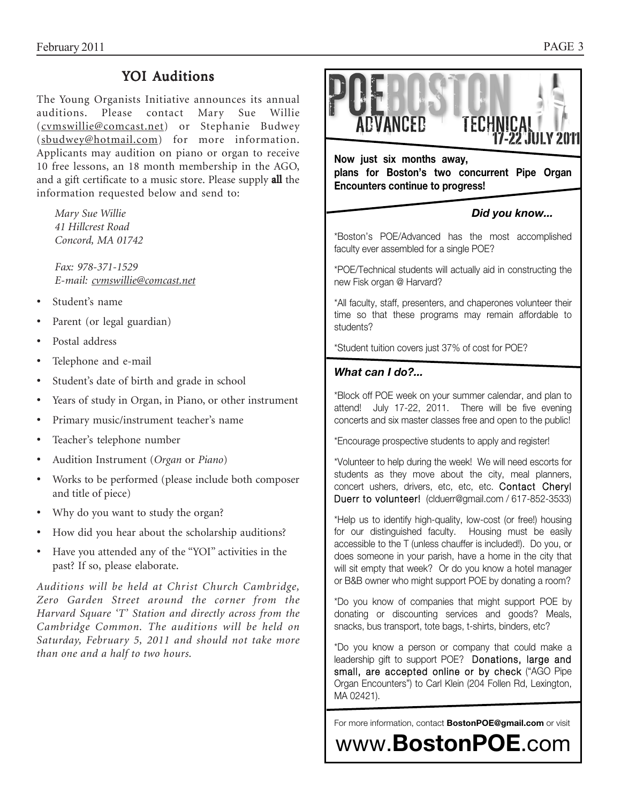# YOI Auditions

The Young Organists Initiative announces its annual auditions. Please contact Mary Sue Willie (cvmswillie@comcast.net) or Stephanie Budwey (sbudwey@hotmail.com) for more information. Applicants may audition on piano or organ to receive 10 free lessons, an 18 month membership in the AGO, and a gift certificate to a music store. Please supply **all** the information requested below and send to:

*Mary Sue Willie 41 Hillcrest Road Concord, MA 01742*

*Fax: 978-371-1529 E-mail: cvmswillie@comcast.net*

- Student's name
- Parent (or legal guardian)
- Postal address
- Telephone and e-mail
- Student's date of birth and grade in school
- Years of study in Organ, in Piano, or other instrument
- Primary music/instrument teacher's name
- Teacher's telephone number
- Audition Instrument (*Organ* or *Piano*)
- Works to be performed (please include both composer and title of piece)
- Why do you want to study the organ?
- How did you hear about the scholarship auditions?
- Have you attended any of the "YOI" activities in the past? If so, please elaborate.

*Auditions will be held at Christ Church Cambridge, Zero Garden Street around the corner from the Harvard Square 'T' Station and directly across from the Cambridge Common. The auditions will be held on Saturday, February 5, 2011 and should not take more than one and a half to two hours.*



**Now just six months away, Encounters continue to progress! Encounters continue to progress!** 

# *Did you know...*

\*Boston's POE/Advanced has the most accomplished faculty ever assembled for a single POE?

\*POE/Technical students will actually aid in constructing the new Fisk organ @ Harvard?

\*All faculty, staff, presenters, and chaperones volunteer their time so that these programs may remain affordable to students?

\*Student tuition covers just 37% of cost for POE?

# *What can I do?...*

\*Block off POE week on your summer calendar, and plan to attend! July 17-22, 2011. There will be five evening concerts and six master classes free and open to the public!

\*Encourage prospective students to apply and register!

\*Volunteer to help during the week! We will need escorts for students as they move about the city, meal planners, concert ushers, drivers, etc, etc, etc. Contact Cheryl Duerr to volunteer! (clduerr@gmail.com / 617-852-3533)

\*Help us to identify high-quality, low-cost (or free!) housing for our distinguished faculty. Housing must be easily accessible to the T (unless chauffer is included!). Do you, or does someone in your parish, have a home in the city that will sit empty that week? Or do you know a hotel manager or B&B owner who might support POE by donating a room?

\*Do you know of companies that might support POE by donating or discounting services and goods? Meals, snacks, bus transport, tote bags, t-shirts, binders, etc?

\*Do you know a person or company that could make a leadership gift to support POE? Donations, large and small, are accepted online or by check ("AGO Pipe Organ Encounters") to Carl Klein (204 Follen Rd, Lexington, MA 02421).

For more information, contact **BostonPOE@gmail.com** or visit

www.**BostonPOE**.com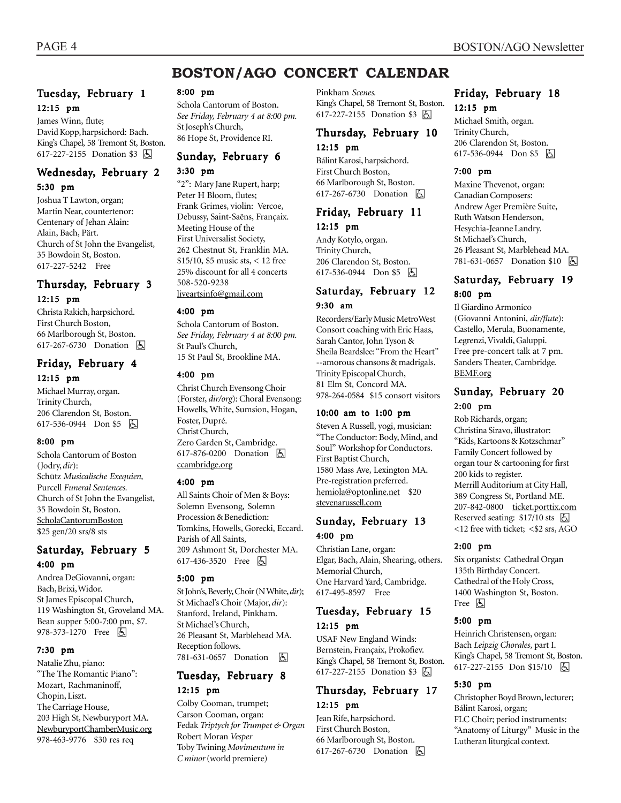# **BOSTON/AGO CONCERT CALENDAR**

# Tuesday, February 1 12:15 pm

James Winn, flute; David Kopp, harpsichord: Bach. King's Chapel, 58 Tremont St, Boston. 617-227-2155 Donation \$3 因

### Wednesday, February 2 5:30 pm

Joshua T Lawton, organ; Martin Near, countertenor: Centenary of Jehan Alain: Alain, Bach, Pärt. Church of St John the Evangelist, 35 Bowdoin St, Boston. 617-227-5242 Free

### Thursday, February 3 12:15 pm

Christa Rakich, harpsichord. First Church Boston, 66 Marlborough St, Boston. 617-267-6730 Donation **b** 

### Friday, February 4 12:15 pm

Michael Murray, organ. Trinity Church, 206 Clarendon St, Boston. 617-536-0944 Don \$5 **b** 

#### 8:00 pm

Schola Cantorum of Boston (Jodry, *dir*): Schütz *Musicalische Exequien,* Purcell *Funeral Sentences.* Church of St John the Evangelist, 35 Bowdoin St, Boston. ScholaCantorumBoston \$25 gen/20 srs/8 sts

# Saturday, February 5 4:00 pm

Andrea DeGiovanni, organ: Bach, Brixi, Widor. St James Episcopal Church, 119 Washington St, Groveland MA. Bean supper 5:00-7:00 pm, \$7. 978-373-1270 Free 因

#### 7:30 pm

Natalie Zhu, piano: "The The Romantic Piano": Mozart, Rachmaninoff, Chopin, Liszt. The Carriage House, 203 High St, Newburyport MA. NewburyportChamberMusic.org 978-463-9776 \$30 res req

#### 8:00 pm

Schola Cantorum of Boston. *See Friday, February 4 at 8:00 pm.* St Joseph's Church, 86 Hope St, Providence RI.

# Sunday, February 6

#### 3:30 pm

"2": Mary Jane Rupert, harp; Peter H Bloom, flutes; Frank Grimes, violin: Vercoe, Debussy, Saint-Saëns, Françaix. Meeting House of the First Universalist Society, 262 Chestnut St, Franklin MA. \$15/10, \$5 music sts, < 12 free 25% discount for all 4 concerts 508-520-9238 liveartsinfo@gmail.com

# 4:00 pm

Schola Cantorum of Boston. *See Friday, February 4 at 8:00 pm.* St Paul's Church, 15 St Paul St, Brookline MA.

#### 4:00 pm

Christ Church Evensong Choir (Forster, *dir/org*): Choral Evensong: Howells, White, Sumsion, Hogan, Foster, Dupré. Christ Church, Zero Garden St, Cambridge. 617-876-0200 Donation **A** ccambridge.org

#### 4:00 pm

All Saints Choir of Men & Boys: Solemn Evensong, Solemn Procession & Benediction: Tomkins, Howells, Gorecki, Eccard. Parish of All Saints, 209 Ashmont St, Dorchester MA. 617-436-3520 Free 因

#### 5:00 pm

St John's, Beverly, Choir (N White, *dir*); St Michael's Choir (Major, *dir*): Stanford, Ireland, Pinkham. St Michael's Church, 26 Pleasant St, Marblehead MA. Reception follows. 781-631-0657 Donation **b** 

# Tuesday, February 8 12:15 pm

Colby Cooman, trumpet; Carson Cooman, organ: Fedak *Triptych for Trumpet & Organ* Robert Moran *Vesper* Toby Twining *Movimentum in C minor* (world premiere)

Pinkham *Scenes.* King's Chapel, 58 Tremont St, Boston. 617-227-2155 Donation \$3 因

# Thursday, February 10 12:15 pm

Bálint Karosi, harpsichord. First Church Boston, 66 Marlborough St, Boston. 617-267-6730 Donation **b** 

# Friday, February 11

12:15 pm Andy Kotylo, organ. Trinity Church, 206 Clarendon St, Boston. 617-536-0944 Don \$5 因

### Saturday, February 12 9:30 am

Recorders/Early Music MetroWest Consort coaching with Eric Haas, Sarah Cantor, John Tyson & Sheila Beardslee: "From the Heart" --amorous chansons & madrigals. Trinity Episcopal Church, 81 Elm St, Concord MA. 978-264-0584 \$15 consort visitors

#### 10:00 am to 1:00 pm

Steven A Russell, yogi, musician: "The Conductor: Body, Mind, and Soul" Workshop for Conductors. First Baptist Church, 1580 Mass Ave, Lexington MA. Pre-registration preferred. hemiola@optonline.net \$20 stevenarussell.com

### Sunday, February 13 4:00 pm

Christian Lane, organ: Elgar, Bach, Alain, Shearing, others. Memorial Church, One Harvard Yard, Cambridge. 617-495-8597 Free

### Tuesday, February 15 12:15 pm

USAF New England Winds: Bernstein, Françaix, Prokofiev. King's Chapel, 58 Tremont St, Boston. 617-227-2155 Donation \$3 **b** 

# Thursday, February 17 12:15 pm

Jean Rife, harpsichord. First Church Boston, 66 Marlborough St, Boston. 617-267-6730 Donation  $\Box$ 

# Friday, February 18 12:15 pm

Michael Smith, organ. Trinity Church, 206 Clarendon St, Boston. 617-536-0944 Don \$5 因

#### 7:00 pm

Maxine Thevenot, organ: Canadian Composers: Andrew Ager Première Suite, Ruth Watson Henderson, Hesychia-Jeanne Landry. St Michael's Church, 26 Pleasant St, Marblehead MA. 781-631-0657 Donation \$10 因

# Saturday, February 19 8:00 pm

Il Giardino Armonico (Giovanni Antonini, *dir/flute*): Castello, Merula, Buonamente, Legrenzi, Vivaldi, Galuppi. Free pre-concert talk at 7 pm. Sanders Theater, Cambridge. BEMF.org

# Sunday, February 20 2:00 pm

Rob Richards, organ; Christina Siravo, illustrator: "Kids, Kartoons & Kotzschmar" Family Concert followed by organ tour & cartooning for first 200 kids to register. Merrill Auditorium at City Hall, 389 Congress St, Portland ME. 207-842-0800 ticket.porttix.com Reserved seating:  $$17/10$  sts  $\Box$ <12 free with ticket; <\$2 srs, AGO

#### 2:00 pm

Six organists: Cathedral Organ 135th Birthday Concert. Cathedral of the Holy Cross, 1400 Washington St, Boston. Free **b** 

#### 5:00 pm

Heinrich Christensen, organ: Bach *Leipzig Chorales*, part I. King's Chapel, 58 Tremont St, Boston. 617-227-2155 Don \$15/10 | A

#### 5:30 pm

Christopher Boyd Brown, lecturer; Bálint Karosi, organ; FLC Choir; period instruments: "Anatomy of Liturgy" Music in the Lutheran liturgical context.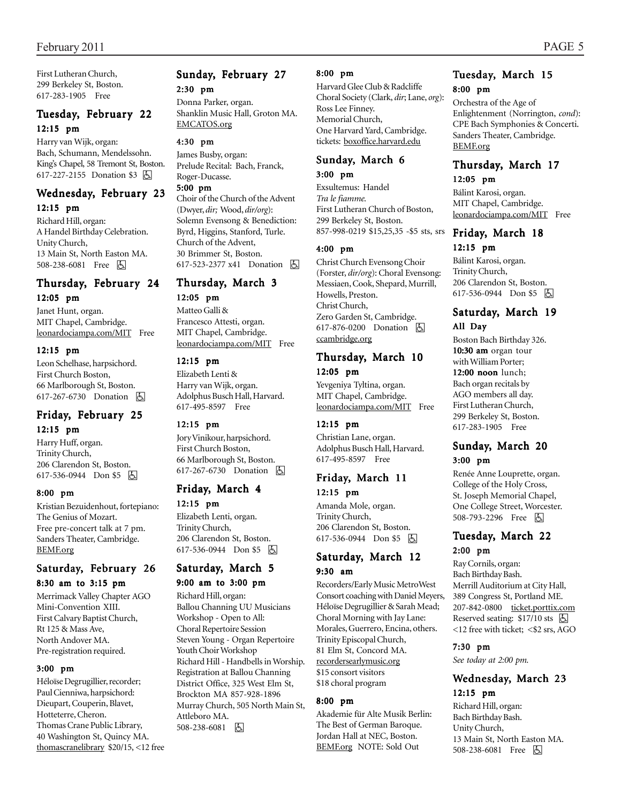First Lutheran Church, 299 Berkeley St, Boston. 617-283-1905 Free

# Tuesday, February 22 12:15 pm

Harry van Wijk, organ: Bach, Schumann, Mendelssohn. King's Chapel, 58 Tremont St, Boston. 617-227-2155 Donation \$3 h

# Wednesday, February 23

12:15 pm

Richard Hill, organ: A Handel Birthday Celebration. Unity Church, 13 Main St, North Easton MA. 508-238-6081 Free 因

# Thursday, February 24 12:05 pm

Janet Hunt, organ. MIT Chapel, Cambridge. leonardociampa.com/MIT Free

#### 12:15 pm

Leon Schelhase, harpsichord. First Church Boston, 66 Marlborough St, Boston. 617-267-6730 Donation **A** 

# Friday, February 25 12:15 pm

Harry Huff, organ. Trinity Church, 206 Clarendon St, Boston. 617-536-0944 Don \$5 因

#### 8:00 pm

Kristian Bezuidenhout, fortepiano: The Genius of Mozart. Free pre-concert talk at 7 pm. Sanders Theater, Cambridge. BEMF.org

### Saturday, February 26 8:30 am to 3:15 pm

Merrimack Valley Chapter AGO Mini-Convention XIII. First Calvary Baptist Church, Rt 125 & Mass Ave, North Andover MA. Pre-registration required.

### 3:00 pm

Héloïse Degrugillier, recorder; Paul Cienniwa, harpsichord: Dieupart, Couperin, Blavet, Hotteterre, Cheron. Thomas Crane Public Library, 40 Washington St, Quincy MA. thomascranelibrary \$20/15, <12 free

# Sunday, February 27 2:30 pm

Donna Parker, organ. Shanklin Music Hall, Groton MA. EMCATOS.org

#### 4:30 pm

James Busby, organ: Prelude Recital: Bach, Franck, Roger-Ducasse.

#### 5:00 pm

Choir of the Church of the Advent (Dwyer, *dir;* Wood, *dir/org*): Solemn Evensong & Benediction: Byrd, Higgins, Stanford, Turle. Church of the Advent, 30 Brimmer St, Boston. 617-523-2377 x41 Donation 因

# Thursday, March 3

12:05 pm Matteo Galli & Francesco Attesti, organ. MIT Chapel, Cambridge. leonardociampa.com/MIT Free

#### 12:15 pm

Elizabeth Lenti & Harry van Wijk, organ. Adolphus Busch Hall, Harvard. 617-495-8597 Free

### 12:15 pm

Jory Vinikour, harpsichord. First Church Boston, 66 Marlborough St, Boston. 617-267-6730 Donation **b** 

### Friday, March 4 12:15 pm

Elizabeth Lenti, organ. Trinity Church, 206 Clarendon St, Boston. 617-536-0944 Don \$5  $\boxed{6}$ 

# Saturday, March 5

9:00 am to 3:00 pm

Richard Hill, organ: Ballou Channing UU Musicians Workshop - Open to All: Choral Repertoire Session Steven Young - Organ Repertoire Youth Choir Workshop Richard Hill - Handbells in Worship. Registration at Ballou Channing District Office, 325 West Elm St, Brockton MA 857-928-1896 Murray Church, 505 North Main St, Attleboro MA. 508-238-6081 h

#### 8:00 pm

Harvard Glee Club & Radcliffe Choral Society (Clark, *dir*; Lane, *org*): Ross Lee Finney. Memorial Church, One Harvard Yard, Cambridge. tickets: boxoffice.harvard.edu

# Sunday, March 6

# 3:00 pm

Exsultemus: Handel *Tra le fiamme.* First Lutheran Church of Boston, 299 Berkeley St, Boston. 857-998-0219 \$15,25,35 -\$5 sts, srs

#### 4:00 pm

Christ Church Evensong Choir (Forster, *dir/org*): Choral Evensong: Messiaen, Cook, Shepard, Murrill, Howells, Preston. Christ Church, Zero Garden St, Cambridge. 617-876-0200 Donation **A** ccambridge.org

# Thursday, March 10 12:05 pm

Yevgeniya Tyltina, organ. MIT Chapel, Cambridge. leonardociampa.com/MIT Free

### 12:15 pm

Christian Lane, organ. Adolphus Busch Hall, Harvard. 617-495-8597 Free

# Friday, March 11 12:15 pm

Amanda Mole, organ. Trinity Church, 206 Clarendon St, Boston. 617-536-0944 Don \$5 | A

### Saturday, March 12 9:30 am

Recorders/Early Music MetroWest Consort coaching with Daniel Meyers, Héloïse Degrugillier & Sarah Mead; Choral Morning with Jay Lane: Morales, Guerrero, Encina, others. Trinity Episcopal Church, 81 Elm St, Concord MA. recordersearlymusic.org \$15 consort visitors \$18 choral program

### 8:00 pm

Akademie für Alte Musik Berlin: The Best of German Baroque. Jordan Hall at NEC, Boston. BEMF.org NOTE: Sold Out

# Tuesday, March 15 8:00 pm

Orchestra of the Age of Enlightenment (Norrington, *cond*): CPE Bach Symphonies & Concerti. Sanders Theater, Cambridge. BEMF.org

# Thursday, March 17

12:05 pm

Bálint Karosi, organ. MIT Chapel, Cambridge. leonardociampa.com/MIT Free

# Friday, March 18 12:15 pm

Bálint Karosi, organ. Trinity Church, 206 Clarendon St, Boston. 617-536-0944 Don \$5 因

# Saturday, March 19 All Day

Boston Bach Birthday 326.  $10:30$  am organ tour with William Porter;  $12:00$  noon lunch; Bach organ recitals by AGO members all day. First Lutheran Church, 299 Berkeley St, Boston. 617-283-1905 Free

### Sunday, March 20 3:00 pm

Renée Anne Louprette, organ. College of the Holy Cross, St. Joseph Memorial Chapel, One College Street, Worcester. 508-793-2296 Free 因

### Tuesday, March 22 2:00 pm

Ray Cornils, organ: Bach Birthday Bash. Merrill Auditorium at City Hall, 389 Congress St, Portland ME. 207-842-0800 ticket.porttix.com Reserved seating:  $$17/10$  sts  $\Box$ <12 free with ticket; <\$2 srs, AGO

# 7:30 pm

*See today at 2:00 pm.*

### Wednesday, March 23 12:15 pm

Richard Hill, organ: Bach Birthday Bash. Unity Church, 13 Main St, North Easton MA. 508-238-6081 Free 因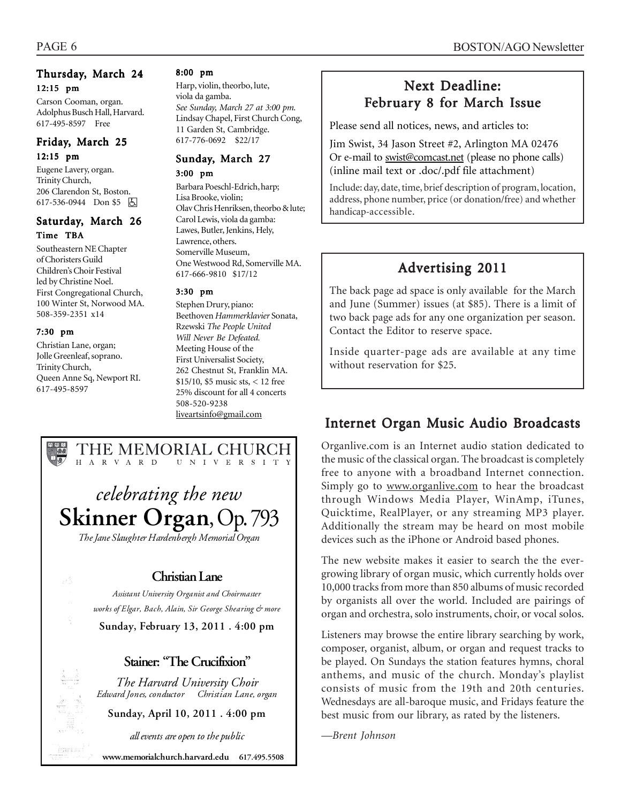# Thursday, March 24 12:15 pm

Carson Cooman, organ. Adolphus Busch Hall, Harvard. 617-495-8597 Free

# Friday, March 25 12:15 pm

Eugene Lavery, organ. Trinity Church, 206 Clarendon St, Boston. 617-536-0944 Don \$5 因

# Saturday, March 26 Time TBA

Southeastern NE Chapter of Choristers Guild Children's Choir Festival led by Christine Noel. First Congregational Church, 100 Winter St, Norwood MA. 508-359-2351 x14

# 7:30 pm

Christian Lane, organ; Jolle Greenleaf, soprano. Trinity Church, Queen Anne Sq, Newport RI. 617-495-8597

hann a c

#### 8:00 pm

Harp, violin, theorbo, lute, viola da gamba. *See Sunday, March 27 at 3:00 pm.* Lindsay Chapel, First Church Cong, 11 Garden St, Cambridge. 617-776-0692 \$22/17

# Sunday, March 27

3:00 pm

Barbara Poeschl-Edrich, harp; Lisa Brooke, violin; Olav Chris Henriksen, theorbo & lute; Carol Lewis, viola da gamba: Lawes, Butler, Jenkins, Hely, Lawrence, others. Somerville Museum, One Westwood Rd, Somerville MA. 617-666-9810 \$17/12

### 3:30 pm

Stephen Drury, piano: Beethoven *Hammerklavier* Sonata, Rzewski *The People United Will Never Be Defeated.* Meeting House of the First Universalist Society, 262 Chestnut St, Franklin MA. \$15/10, \$5 music sts, < 12 free 25% discount for all 4 concerts 508-520-9238 liveartsinfo@gmail.com

# THE MEMORIAL CHURCH H A R V A R D U N I V E R S I T Y

*celebrating the new Skinner Organ*, Op. 793 *The Jane Slaughter Hardenbergh Memorial Organ*

# *Christian Lane*

*Assistant University Organist and Choirmaster works of Elgar, Bach, Alain, Sir George Shearing & more*

*Sunday, February 13, 2011 . 4:00 pm* 

# *Stainer: "The Crucifixion"*

*The Harvard University Choir Edward Jones, conductor Christian Lane, organ* 

*Sunday, April 10, 2011 . 4:00 pm* 

*all events are open to the public* 

 *www.memorialchurch.harvard.edu 617.495.5508* 

# Next Deadline: February 8 for March Issue

Please send all notices, news, and articles to:

Jim Swist, 34 Jason Street #2, Arlington MA 02476 Or e-mail to swist@comcast.net (please no phone calls) (inline mail text or .doc/.pdf file attachment)

Include: day, date, time, brief description of program, location, address, phone number, price (or donation/free) and whether handicap-accessible.

# Advertising 2011

The back page ad space is only available for the March and June (Summer) issues (at \$85). There is a limit of two back page ads for any one organization per season. Contact the Editor to reserve space.

Inside quarter-page ads are available at any time without reservation for \$25.

# Internet Organ Music Audio Broadcasts

Organlive.com is an Internet audio station dedicated to the music of the classical organ. The broadcast is completely free to anyone with a broadband Internet connection. Simply go to www.organlive.com to hear the broadcast through Windows Media Player, WinAmp, iTunes, Quicktime, RealPlayer, or any streaming MP3 player. Additionally the stream may be heard on most mobile devices such as the iPhone or Android based phones.

The new website makes it easier to search the the evergrowing library of organ music, which currently holds over 10,000 tracks from more than 850 albums of music recorded by organists all over the world. Included are pairings of organ and orchestra, solo instruments, choir, or vocal solos.

Listeners may browse the entire library searching by work, composer, organist, album, or organ and request tracks to be played. On Sundays the station features hymns, choral anthems, and music of the church. Monday's playlist consists of music from the 19th and 20th centuries. Wednesdays are all-baroque music, and Fridays feature the best music from our library, as rated by the listeners.

*—Brent Johnson*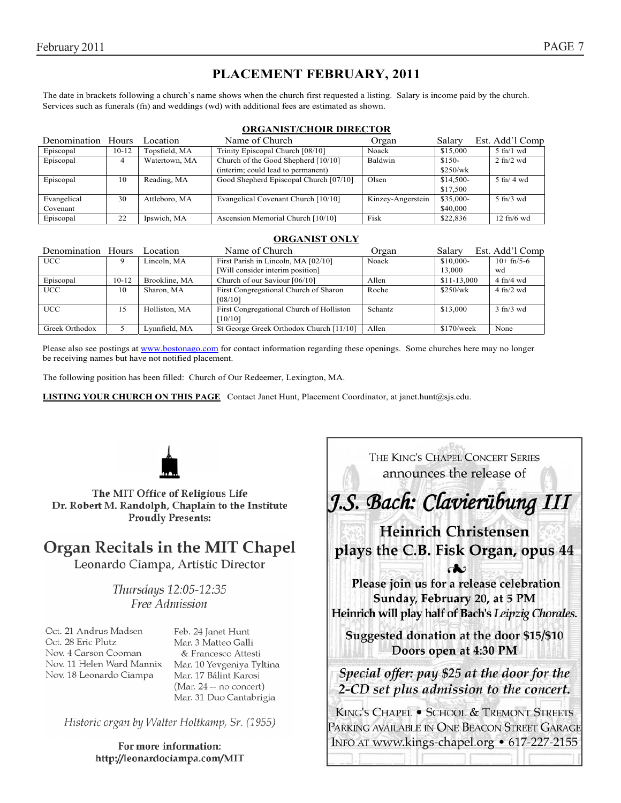# **PLACEMENT FEBRUARY, 2011**

The date in brackets following a church's name shows when the church first requested a listing. Salary is income paid by the church. Services such as funerals (fn) and weddings (wd) with additional fees are estimated as shown.

#### **ORGANIST/CHOIR DIRECTOR**

| Denomination Hours |         | Location      | Name of Church                         | Organ             | Salary    | Est. Add'l Comp              |
|--------------------|---------|---------------|----------------------------------------|-------------------|-----------|------------------------------|
| Episcopal          | $10-12$ | Topsfield, MA | Trinity Episcopal Church [08/10]       | Noack             | \$15,000  | $5 \text{ ft}/1 \text{ wd}$  |
| Episcopal          | 4       | Watertown, MA | Church of the Good Shepherd [10/10]    | Baldwin           | $$150-$   | $2 \text{ ft}/2 \text{ wd}$  |
|                    |         |               | (interim; could lead to permanent)     |                   | \$250/wk  |                              |
| Episcopal          | 10      | Reading, MA   | Good Shepherd Episcopal Church [07/10] | Olsen             | \$14,500- | $5 \text{ ft}$ 4 wd          |
|                    |         |               |                                        |                   | \$17,500  |                              |
| Evangelical        | 30      | Attleboro, MA | Evangelical Covenant Church [10/10]    | Kinzey-Angerstein | \$35,000- | $5 \text{ ft}/3$ wd          |
| Covenant           |         |               |                                        |                   | \$40,000  |                              |
| Episcopal          | 22      | Ipswich, MA   | Ascension Memorial Church [10/10]      | Fisk              | \$22,836  | $12 \text{ ft}/6 \text{ wd}$ |

#### **ORGANIST ONLY**

| Denomination Hours |         | Location      | Name of Church                                      | Organ   | Salary       | Est. Add'l Comp             |
|--------------------|---------|---------------|-----------------------------------------------------|---------|--------------|-----------------------------|
| <b>UCC</b>         |         | Lincoln. MA   | First Parish in Lincoln, MA [02/10]                 | Noack   | $$10,000-$   | $10+fn/5-6$                 |
|                    |         |               | [Will consider interim position]                    |         | 13,000       | wd                          |
| Episcopal          | $10-12$ | Brookline, MA | Church of our Saviour [06/10]                       | Allen   | $$11-13,000$ | $4$ fn/4 wd                 |
| <b>UCC</b>         | 10      | Sharon, MA    | First Congregational Church of Sharon<br>[08/10]    | Roche   | \$250/wk     | $4 \text{ ft}/2 \text{ wd}$ |
| <b>UCC</b>         | 15      | Holliston, MA | First Congregational Church of Holliston<br>[10/10] | Schantz | \$13,000     | $3 \text{ ft}/3$ wd         |
| Greek Orthodox     |         | Lynnfield, MA | St George Greek Orthodox Church [11/10]             | Allen   | $$170$ /week | None                        |

Please also see postings at www.bostonago.com for contact information regarding these openings. Some churches here may no longer be receiving names but have not notified placement.

The following position has been filled: Church of Our Redeemer, Lexington, MA.

**LISTING YOUR CHURCH ON THIS PAGE** Contact Janet Hunt, Placement Coordinator, at janet.hunt@sjs.edu.



The MIT Office of Religious Life Dr. Robert M. Randolph, Chaplain to the Institute **Proudly Presents:** 

# Organ Recitals in the MIT Chapel

Leonardo Ciampa, Artistic Director

Thursdays 12:05-12:35 Free Admission

Oct. 21 Andrus Madsen Oct. 28 Eric Plutz Nov. 4 Carson Cooman Nov. 11 Helen Ward Mannix Nov. 18 Leonardo Ciampa

Feb. 24 Janet Hunt Mar. 3 Matteo Galli & Francesco Attesti Mar. 10 Yevgeniya Tyltina Mar. 17 Bálint Karosi (Mar. 24 -- no concert) Mar. 31 Duo Cantabrigia

Historic organ by Walter Holtkamp, Sr. (1955)

For more information: http://leonardociampa.com/MIT

THE KING'S CHAPEL CONCERT SERIES announces the release of J.S. Bach: Clavierübung III **Heinrich Christensen** plays the C.B. Fisk Organ, opus 44 കാ Please join us for a release celebration Sunday, February 20, at 5 PM Heinrich will play half of Bach's Leipzig Chorales. Suggested donation at the door \$15/\$10 Doors open at 4:30 PM

Special offer: pay \$25 at the door for the 2-CD set plus admission to the concert.

KING'S CHAPEL . SCHOOL & TREMONT STREETS PARKING AVAILABLE IN ONE BEACON STREET GARAGE INFO AT www.kings-chapel.org • 617-227-2155